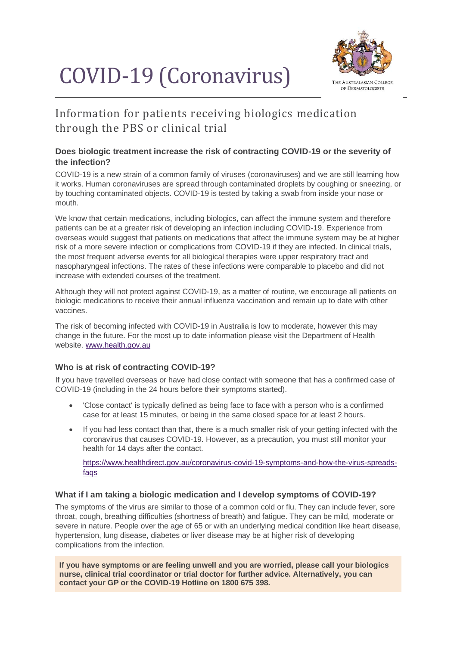# COVID-19 (Coronavirus)



# Information for patients receiving biologics medication through the PBS or clinical trial

## **Does biologic treatment increase the risk of contracting COVID-19 or the severity of the infection?**

COVID-19 is a new strain of a common family of viruses (coronaviruses) and we are still learning how it works. Human coronaviruses are spread through contaminated droplets by coughing or sneezing, or by touching contaminated objects. COVID-19 is tested by taking a swab from inside your nose or mouth.

We know that certain medications, including biologics, can affect the immune system and therefore patients can be at a greater risk of developing an infection including COVID-19. Experience from overseas would suggest that patients on medications that affect the immune system may be at higher risk of a more severe infection or complications from COVID-19 if they are infected. In clinical trials, the most frequent adverse events for all biological therapies were upper respiratory tract and nasopharyngeal infections. The rates of these infections were comparable to placebo and did not increase with extended courses of the treatment.

Although they will not protect against COVID-19, as a matter of routine, we encourage all patients on biologic medications to receive their annual influenza vaccination and remain up to date with other vaccines.

The risk of becoming infected with COVID-19 in Australia is low to moderate, however this may change in the future. For the most up to date information please visit the Department of Health website. [www.health.gov.au](http://www.health.gov.au/)

#### **Who is at risk of contracting COVID-19?**

If you have travelled overseas or have had close contact with someone that has a confirmed case of COVID-19 (including in the 24 hours before their symptoms started).

- 'Close contact' is typically defined as being face to face with a person who is a confirmed case for at least 15 minutes, or being in the same closed space for at least 2 hours.
- If you had less contact than that, there is a much smaller risk of your getting infected with the coronavirus that causes COVID-19. However, as a precaution, you must still monitor your health for 14 days after the contact.

[https://www.healthdirect.gov.au/coronavirus-covid-19-symptoms-and-how-the-virus-spreads](https://www.healthdirect.gov.au/coronavirus-covid-19-symptoms-and-how-the-virus-spreads-faqs)[faqs](https://www.healthdirect.gov.au/coronavirus-covid-19-symptoms-and-how-the-virus-spreads-faqs)

#### **What if I am taking a biologic medication and I develop symptoms of COVID-19?**

The symptoms of the virus are similar to those of a common cold or flu. They can include fever, sore throat, cough, breathing difficulties (shortness of breath) and fatigue. They can be mild, moderate or severe in nature. People over the age of 65 or with an underlying medical condition like heart disease, hypertension, lung disease, diabetes or liver disease may be at higher risk of developing complications from the infection.

**If you have symptoms or are feeling unwell and you are worried, please call your biologics nurse, clinical trial coordinator or trial doctor for further advice. Alternatively, you can contact your GP or the COVID-19 Hotline on 1800 675 398.**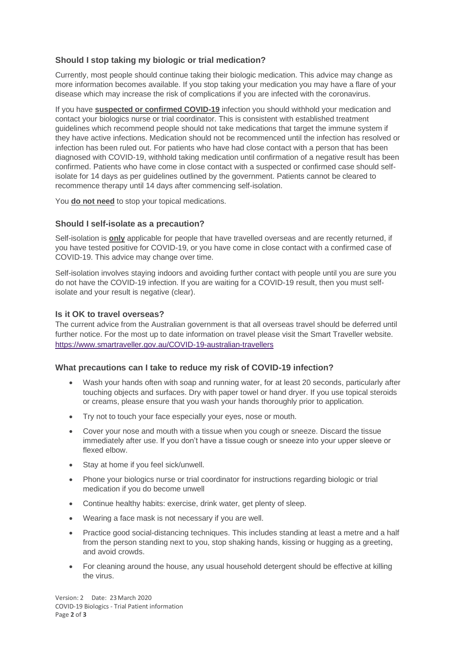### **Should I stop taking my biologic or trial medication?**

Currently, most people should continue taking their biologic medication. This advice may change as more information becomes available. If you stop taking your medication you may have a flare of your disease which may increase the risk of complications if you are infected with the coronavirus.

If you have **suspected or confirmed COVID-19** infection you should withhold your medication and contact your biologics nurse or trial coordinator. This is consistent with established treatment guidelines which recommend people should not take medications that target the immune system if they have active infections. Medication should not be recommenced until the infection has resolved or infection has been ruled out. For patients who have had close contact with a person that has been diagnosed with COVID-19, withhold taking medication until confirmation of a negative result has been confirmed. Patients who have come in close contact with a suspected or confirmed case should selfisolate for 14 days as per guidelines outlined by the government. Patients cannot be cleared to recommence therapy until 14 days after commencing self-isolation.

You **do not need** to stop your topical medications.

#### **Should I self-isolate as a precaution?**

Self-isolation is **only** applicable for people that have travelled overseas and are recently returned, if you have tested positive for COVID-19, or you have come in close contact with a confirmed case of COVID-19. This advice may change over time.

Self-isolation involves staying indoors and avoiding further contact with people until you are sure you do not have the COVID-19 infection. If you are waiting for a COVID-19 result, then you must selfisolate and your result is negative (clear).

#### **Is it OK to travel overseas?**

The current advice from the Australian government is that all overseas travel should be deferred until further notice. For the most up to date information on travel please visit the Smart Traveller website. <https://www.smartraveller.gov.au/COVID-19-australian-travellers>

#### **What precautions can I take to reduce my risk of COVID-19 infection?**

- Wash your hands often with soap and running water, for at least 20 seconds, particularly after touching objects and surfaces. Dry with paper towel or hand dryer. If you use topical steroids or creams, please ensure that you wash your hands thoroughly prior to application.
- Try not to touch your face especially your eyes, nose or mouth.
- Cover your nose and mouth with a tissue when you cough or sneeze. Discard the tissue immediately after use. If you don't have a tissue cough or sneeze into your upper sleeve or flexed elbow.
- Stay at home if you feel sick/unwell.
- Phone your biologics nurse or trial coordinator for instructions regarding biologic or trial medication if you do become unwell
- Continue healthy habits: exercise, drink water, get plenty of sleep.
- Wearing a face mask is not necessary if you are well.
- Practice good social-distancing techniques. This includes standing at least a metre and a half from the person standing next to you, stop shaking hands, kissing or hugging as a greeting, and avoid crowds.
- For cleaning around the house, any usual household detergent should be effective at killing the virus.

Version: 2 Date: 23March 2020 COVID-19 Biologics - Trial Patient information Page **2** of **3**